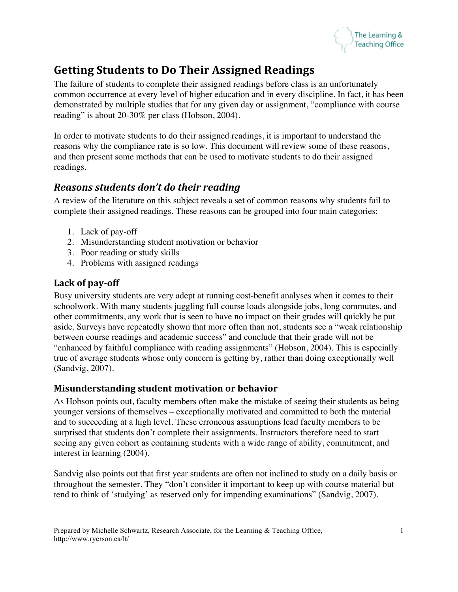

# **Getting Students to Do Their Assigned Readings**

The failure of students to complete their assigned readings before class is an unfortunately common occurrence at every level of higher education and in every discipline. In fact, it has been demonstrated by multiple studies that for any given day or assignment, "compliance with course reading" is about 20-30% per class (Hobson, 2004).

In order to motivate students to do their assigned readings, it is important to understand the reasons why the compliance rate is so low. This document will review some of these reasons, and then present some methods that can be used to motivate students to do their assigned readings.

## *Reasons students don't do their reading*

A review of the literature on this subject reveals a set of common reasons why students fail to complete their assigned readings. These reasons can be grouped into four main categories:

- 1. Lack of pay-off
- 2. Misunderstanding student motivation or behavior
- 3. Poor reading or study skills
- 4. Problems with assigned readings

#### Lack of pay-off

Busy university students are very adept at running cost-benefit analyses when it comes to their schoolwork. With many students juggling full course loads alongside jobs, long commutes, and other commitments, any work that is seen to have no impact on their grades will quickly be put aside. Surveys have repeatedly shown that more often than not, students see a "weak relationship between course readings and academic success" and conclude that their grade will not be "enhanced by faithful compliance with reading assignments" (Hobson, 2004). This is especially true of average students whose only concern is getting by, rather than doing exceptionally well (Sandvig, 2007).

#### **Misunderstanding student motivation or behavior**

As Hobson points out, faculty members often make the mistake of seeing their students as being younger versions of themselves – exceptionally motivated and committed to both the material and to succeeding at a high level. These erroneous assumptions lead faculty members to be surprised that students don't complete their assignments. Instructors therefore need to start seeing any given cohort as containing students with a wide range of ability, commitment, and interest in learning (2004).

Sandvig also points out that first year students are often not inclined to study on a daily basis or throughout the semester. They "don't consider it important to keep up with course material but tend to think of 'studying' as reserved only for impending examinations" (Sandvig, 2007).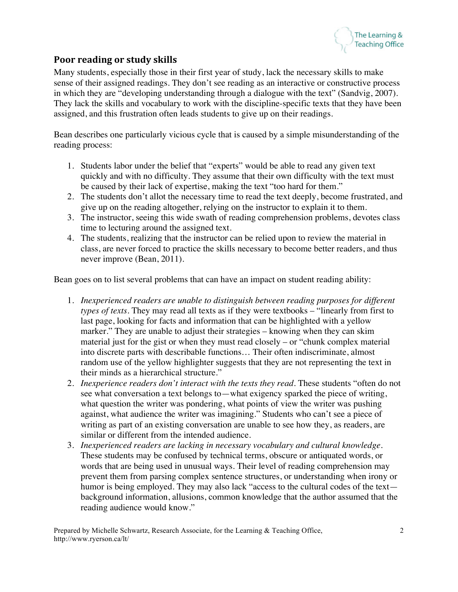

#### **Poor reading or study skills**

Many students, especially those in their first year of study, lack the necessary skills to make sense of their assigned readings. They don't see reading as an interactive or constructive process in which they are "developing understanding through a dialogue with the text" (Sandvig, 2007). They lack the skills and vocabulary to work with the discipline-specific texts that they have been assigned, and this frustration often leads students to give up on their readings.

Bean describes one particularly vicious cycle that is caused by a simple misunderstanding of the reading process:

- 1. Students labor under the belief that "experts" would be able to read any given text quickly and with no difficulty. They assume that their own difficulty with the text must be caused by their lack of expertise, making the text "too hard for them."
- 2. The students don't allot the necessary time to read the text deeply, become frustrated, and give up on the reading altogether, relying on the instructor to explain it to them.
- 3. The instructor, seeing this wide swath of reading comprehension problems, devotes class time to lecturing around the assigned text.
- 4. The students, realizing that the instructor can be relied upon to review the material in class, are never forced to practice the skills necessary to become better readers, and thus never improve (Bean, 2011).

Bean goes on to list several problems that can have an impact on student reading ability:

- 1. *Inexperienced readers are unable to distinguish between reading purposes for different types of texts*. They may read all texts as if they were textbooks – "linearly from first to last page, looking for facts and information that can be highlighted with a yellow marker." They are unable to adjust their strategies – knowing when they can skim material just for the gist or when they must read closely – or "chunk complex material into discrete parts with describable functions… Their often indiscriminate, almost random use of the yellow highlighter suggests that they are not representing the text in their minds as a hierarchical structure."
- 2. *Inexperience readers don't interact with the texts they read*. These students "often do not see what conversation a text belongs to—what exigency sparked the piece of writing, what question the writer was pondering, what points of view the writer was pushing against, what audience the writer was imagining." Students who can't see a piece of writing as part of an existing conversation are unable to see how they, as readers, are similar or different from the intended audience.
- 3. *Inexperienced readers are lacking in necessary vocabulary and cultural knowledge*. These students may be confused by technical terms, obscure or antiquated words, or words that are being used in unusual ways. Their level of reading comprehension may prevent them from parsing complex sentence structures, or understanding when irony or humor is being employed. They may also lack "access to the cultural codes of the text background information, allusions, common knowledge that the author assumed that the reading audience would know."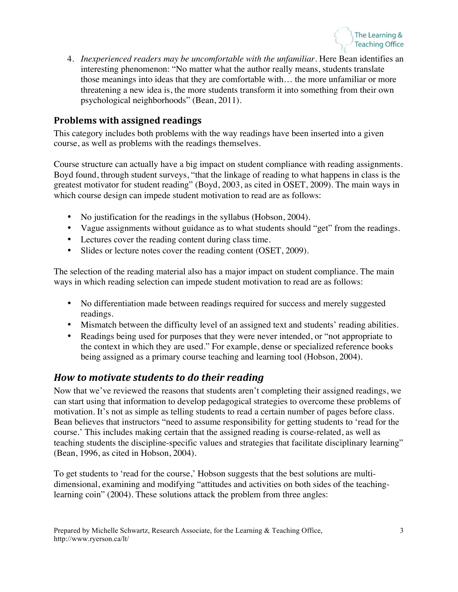

4. *Inexperienced readers may be uncomfortable with the unfamiliar*. Here Bean identifies an interesting phenomenon: "No matter what the author really means, students translate those meanings into ideas that they are comfortable with… the more unfamiliar or more threatening a new idea is, the more students transform it into something from their own psychological neighborhoods" (Bean, 2011).

#### **Problems with assigned readings**

This category includes both problems with the way readings have been inserted into a given course, as well as problems with the readings themselves.

Course structure can actually have a big impact on student compliance with reading assignments. Boyd found, through student surveys, "that the linkage of reading to what happens in class is the greatest motivator for student reading" (Boyd, 2003, as cited in OSET, 2009). The main ways in which course design can impede student motivation to read are as follows:

- No justification for the readings in the syllabus (Hobson, 2004).
- Vague assignments without guidance as to what students should "get" from the readings.
- Lectures cover the reading content during class time.
- Slides or lecture notes cover the reading content (OSET, 2009).

The selection of the reading material also has a major impact on student compliance. The main ways in which reading selection can impede student motivation to read are as follows:

- No differentiation made between readings required for success and merely suggested readings.
- Mismatch between the difficulty level of an assigned text and students' reading abilities.
- Readings being used for purposes that they were never intended, or "not appropriate to the context in which they are used." For example, dense or specialized reference books being assigned as a primary course teaching and learning tool (Hobson, 2004).

## *How to motivate students to do their reading*

Now that we've reviewed the reasons that students aren't completing their assigned readings, we can start using that information to develop pedagogical strategies to overcome these problems of motivation. It's not as simple as telling students to read a certain number of pages before class. Bean believes that instructors "need to assume responsibility for getting students to 'read for the course.' This includes making certain that the assigned reading is course-related, as well as teaching students the discipline-specific values and strategies that facilitate disciplinary learning" (Bean, 1996, as cited in Hobson, 2004).

To get students to 'read for the course,' Hobson suggests that the best solutions are multidimensional, examining and modifying "attitudes and activities on both sides of the teachinglearning coin" (2004). These solutions attack the problem from three angles: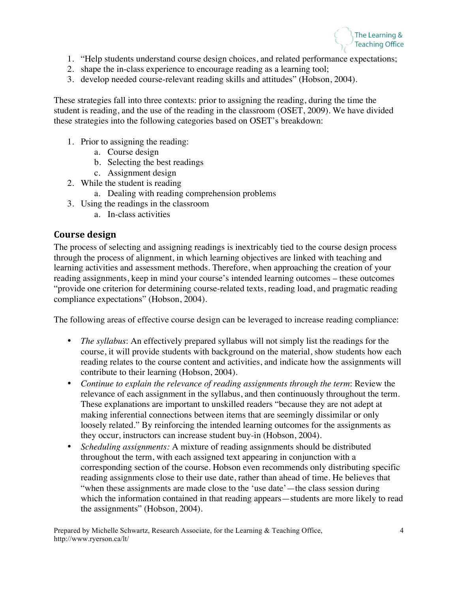

- 1. "Help students understand course design choices, and related performance expectations;
- 2. shape the in-class experience to encourage reading as a learning tool;
- 3. develop needed course-relevant reading skills and attitudes" (Hobson, 2004).

These strategies fall into three contexts: prior to assigning the reading, during the time the student is reading, and the use of the reading in the classroom (OSET, 2009). We have divided these strategies into the following categories based on OSET's breakdown:

- 1. Prior to assigning the reading:
	- a. Course design
	- b. Selecting the best readings
	- c. Assignment design
- 2. While the student is reading
	- a. Dealing with reading comprehension problems
- 3. Using the readings in the classroom
	- a. In-class activities

#### **Course design**

The process of selecting and assigning readings is inextricably tied to the course design process through the process of alignment, in which learning objectives are linked with teaching and learning activities and assessment methods. Therefore, when approaching the creation of your reading assignments, keep in mind your course's intended learning outcomes – these outcomes "provide one criterion for determining course-related texts, reading load, and pragmatic reading compliance expectations" (Hobson, 2004).

The following areas of effective course design can be leveraged to increase reading compliance:

- *The syllabus*: An effectively prepared syllabus will not simply list the readings for the course, it will provide students with background on the material, show students how each reading relates to the course content and activities, and indicate how the assignments will contribute to their learning (Hobson, 2004).
- *Continue to explain the relevance of reading assignments through the term*: Review the relevance of each assignment in the syllabus, and then continuously throughout the term. These explanations are important to unskilled readers "because they are not adept at making inferential connections between items that are seemingly dissimilar or only loosely related." By reinforcing the intended learning outcomes for the assignments as they occur, instructors can increase student buy-in (Hobson, 2004).
- *Scheduling assignments:* A mixture of reading assignments should be distributed throughout the term, with each assigned text appearing in conjunction with a corresponding section of the course. Hobson even recommends only distributing specific reading assignments close to their use date, rather than ahead of time. He believes that "when these assignments are made close to the 'use date'—the class session during which the information contained in that reading appears—students are more likely to read the assignments" (Hobson, 2004).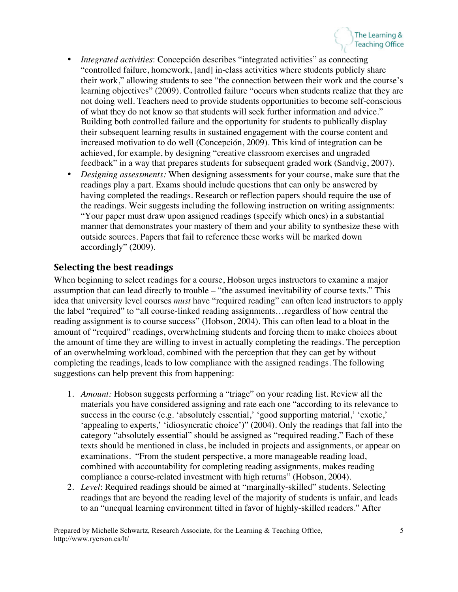- *Integrated activities*: Concepción describes "integrated activities" as connecting "controlled failure, homework, [and] in-class activities where students publicly share their work," allowing students to see "the connection between their work and the course's learning objectives" (2009). Controlled failure "occurs when students realize that they are not doing well. Teachers need to provide students opportunities to become self-conscious of what they do not know so that students will seek further information and advice." Building both controlled failure and the opportunity for students to publically display their subsequent learning results in sustained engagement with the course content and increased motivation to do well (Concepción, 2009). This kind of integration can be achieved, for example, by designing "creative classroom exercises and ungraded feedback" in a way that prepares students for subsequent graded work (Sandvig, 2007).
- *Designing assessments:* When designing assessments for your course, make sure that the readings play a part. Exams should include questions that can only be answered by having completed the readings. Research or reflection papers should require the use of the readings. Weir suggests including the following instruction on writing assignments: "Your paper must draw upon assigned readings (specify which ones) in a substantial manner that demonstrates your mastery of them and your ability to synthesize these with outside sources. Papers that fail to reference these works will be marked down accordingly" (2009).

#### **Selecting the best readings**

When beginning to select readings for a course, Hobson urges instructors to examine a major assumption that can lead directly to trouble – "the assumed inevitability of course texts." This idea that university level courses *must* have "required reading" can often lead instructors to apply the label "required" to "all course-linked reading assignments…regardless of how central the reading assignment is to course success" (Hobson, 2004). This can often lead to a bloat in the amount of "required" readings, overwhelming students and forcing them to make choices about the amount of time they are willing to invest in actually completing the readings. The perception of an overwhelming workload, combined with the perception that they can get by without completing the readings, leads to low compliance with the assigned readings. The following suggestions can help prevent this from happening:

- 1. *Amount:* Hobson suggests performing a "triage" on your reading list. Review all the materials you have considered assigning and rate each one "according to its relevance to success in the course (e.g. 'absolutely essential,' 'good supporting material,' 'exotic,' 'appealing to experts,' 'idiosyncratic choice')" (2004). Only the readings that fall into the category "absolutely essential" should be assigned as "required reading." Each of these texts should be mentioned in class, be included in projects and assignments, or appear on examinations. "From the student perspective, a more manageable reading load, combined with accountability for completing reading assignments, makes reading compliance a course-related investment with high returns" (Hobson, 2004).
- 2. *Level*: Required readings should be aimed at "marginally-skilled" students. Selecting readings that are beyond the reading level of the majority of students is unfair, and leads to an "unequal learning environment tilted in favor of highly-skilled readers." After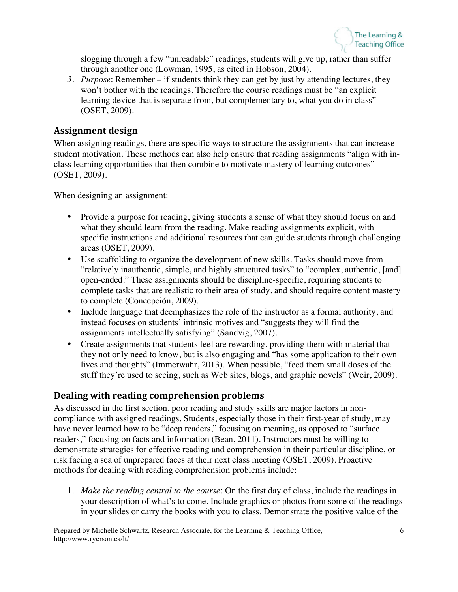

slogging through a few "unreadable" readings, students will give up, rather than suffer through another one (Lowman, 1995, as cited in Hobson, 2004).

*3. Purpose*: Remember – if students think they can get by just by attending lectures, they won't bother with the readings. Therefore the course readings must be "an explicit learning device that is separate from, but complementary to, what you do in class" (OSET, 2009).

#### **Assignment design**

When assigning readings, there are specific ways to structure the assignments that can increase student motivation. These methods can also help ensure that reading assignments "align with inclass learning opportunities that then combine to motivate mastery of learning outcomes" (OSET, 2009).

When designing an assignment:

- Provide a purpose for reading, giving students a sense of what they should focus on and what they should learn from the reading. Make reading assignments explicit, with specific instructions and additional resources that can guide students through challenging areas (OSET, 2009).
- Use scaffolding to organize the development of new skills. Tasks should move from "relatively inauthentic, simple, and highly structured tasks" to "complex, authentic, [and] open-ended." These assignments should be discipline-specific, requiring students to complete tasks that are realistic to their area of study, and should require content mastery to complete (Concepción, 2009).
- Include language that deemphasizes the role of the instructor as a formal authority, and instead focuses on students' intrinsic motives and "suggests they will find the assignments intellectually satisfying" (Sandvig, 2007).
- Create assignments that students feel are rewarding, providing them with material that they not only need to know, but is also engaging and "has some application to their own lives and thoughts" (Immerwahr, 2013). When possible, "feed them small doses of the stuff they're used to seeing, such as Web sites, blogs, and graphic novels" (Weir, 2009).

#### Dealing with reading comprehension problems

As discussed in the first section, poor reading and study skills are major factors in noncompliance with assigned readings. Students, especially those in their first-year of study, may have never learned how to be "deep readers," focusing on meaning, as opposed to "surface" readers," focusing on facts and information (Bean, 2011). Instructors must be willing to demonstrate strategies for effective reading and comprehension in their particular discipline, or risk facing a sea of unprepared faces at their next class meeting (OSET, 2009). Proactive methods for dealing with reading comprehension problems include:

1. *Make the reading central to the course*: On the first day of class, include the readings in your description of what's to come. Include graphics or photos from some of the readings in your slides or carry the books with you to class. Demonstrate the positive value of the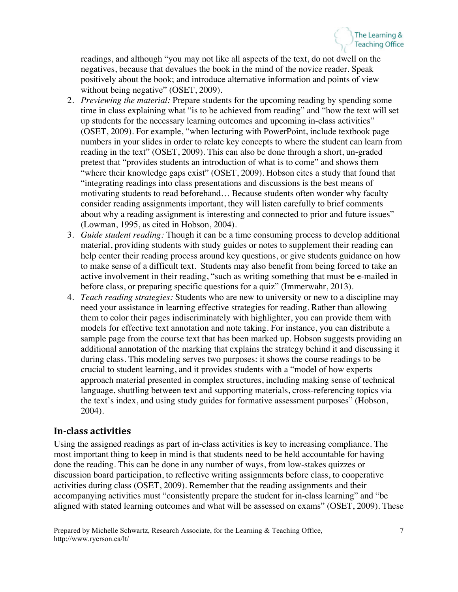readings, and although "you may not like all aspects of the text, do not dwell on the negatives, because that devalues the book in the mind of the novice reader. Speak positively about the book; and introduce alternative information and points of view without being negative" (OSET, 2009).

- 2. *Previewing the material:* Prepare students for the upcoming reading by spending some time in class explaining what "is to be achieved from reading" and "how the text will set up students for the necessary learning outcomes and upcoming in-class activities" (OSET, 2009). For example, "when lecturing with PowerPoint, include textbook page numbers in your slides in order to relate key concepts to where the student can learn from reading in the text" (OSET, 2009). This can also be done through a short, un-graded pretest that "provides students an introduction of what is to come" and shows them "where their knowledge gaps exist" (OSET, 2009). Hobson cites a study that found that "integrating readings into class presentations and discussions is the best means of motivating students to read beforehand… Because students often wonder why faculty consider reading assignments important, they will listen carefully to brief comments about why a reading assignment is interesting and connected to prior and future issues" (Lowman, 1995, as cited in Hobson, 2004).
- 3. *Guide student reading:* Though it can be a time consuming process to develop additional material, providing students with study guides or notes to supplement their reading can help center their reading process around key questions, or give students guidance on how to make sense of a difficult text. Students may also benefit from being forced to take an active involvement in their reading, "such as writing something that must be e-mailed in before class, or preparing specific questions for a quiz" (Immerwahr, 2013).
- 4. *Teach reading strategies:* Students who are new to university or new to a discipline may need your assistance in learning effective strategies for reading. Rather than allowing them to color their pages indiscriminately with highlighter, you can provide them with models for effective text annotation and note taking. For instance, you can distribute a sample page from the course text that has been marked up. Hobson suggests providing an additional annotation of the marking that explains the strategy behind it and discussing it during class. This modeling serves two purposes: it shows the course readings to be crucial to student learning, and it provides students with a "model of how experts approach material presented in complex structures, including making sense of technical language, shuttling between text and supporting materials, cross-referencing topics via the text's index, and using study guides for formative assessment purposes" (Hobson, 2004).

#### **In-class activities**

Using the assigned readings as part of in-class activities is key to increasing compliance. The most important thing to keep in mind is that students need to be held accountable for having done the reading. This can be done in any number of ways, from low-stakes quizzes or discussion board participation, to reflective writing assignments before class, to cooperative activities during class (OSET, 2009). Remember that the reading assignments and their accompanying activities must "consistently prepare the student for in-class learning" and "be aligned with stated learning outcomes and what will be assessed on exams" (OSET, 2009). These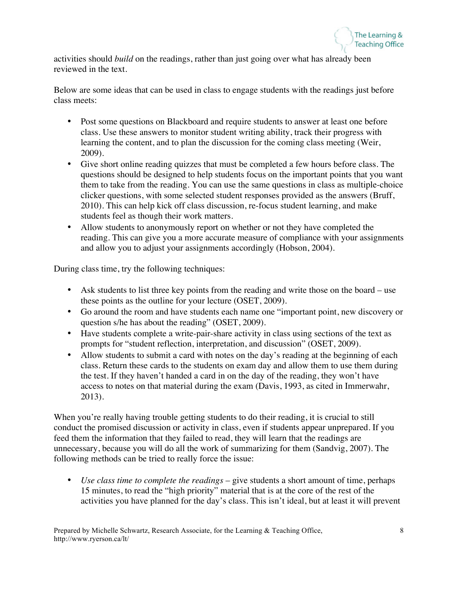

activities should *build* on the readings, rather than just going over what has already been reviewed in the text.

Below are some ideas that can be used in class to engage students with the readings just before class meets:

- Post some questions on Blackboard and require students to answer at least one before class. Use these answers to monitor student writing ability, track their progress with learning the content, and to plan the discussion for the coming class meeting (Weir, 2009).
- Give short online reading quizzes that must be completed a few hours before class. The questions should be designed to help students focus on the important points that you want them to take from the reading. You can use the same questions in class as multiple-choice clicker questions, with some selected student responses provided as the answers (Bruff, 2010). This can help kick off class discussion, re-focus student learning, and make students feel as though their work matters.
- Allow students to anonymously report on whether or not they have completed the reading. This can give you a more accurate measure of compliance with your assignments and allow you to adjust your assignments accordingly (Hobson, 2004).

During class time, try the following techniques:

- Ask students to list three key points from the reading and write those on the board use these points as the outline for your lecture (OSET, 2009).
- Go around the room and have students each name one "important point, new discovery or question s/he has about the reading" (OSET, 2009).
- Have students complete a write-pair-share activity in class using sections of the text as prompts for "student reflection, interpretation, and discussion" (OSET, 2009).
- Allow students to submit a card with notes on the day's reading at the beginning of each class. Return these cards to the students on exam day and allow them to use them during the test. If they haven't handed a card in on the day of the reading, they won't have access to notes on that material during the exam (Davis, 1993, as cited in Immerwahr, 2013).

When you're really having trouble getting students to do their reading, it is crucial to still conduct the promised discussion or activity in class, even if students appear unprepared. If you feed them the information that they failed to read, they will learn that the readings are unnecessary, because you will do all the work of summarizing for them (Sandvig, 2007). The following methods can be tried to really force the issue:

• *Use class time to complete the readings* – give students a short amount of time, perhaps 15 minutes, to read the "high priority" material that is at the core of the rest of the activities you have planned for the day's class. This isn't ideal, but at least it will prevent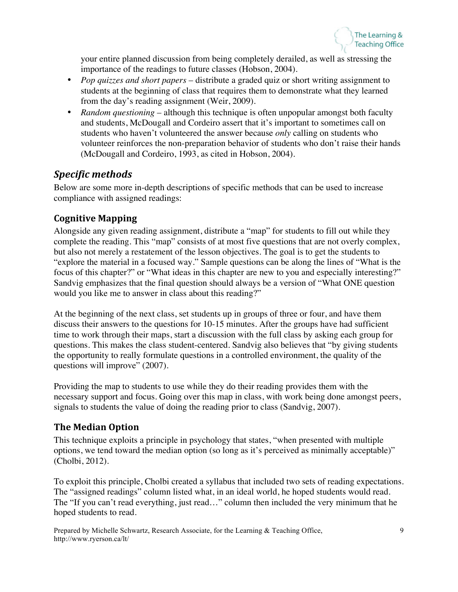

your entire planned discussion from being completely derailed, as well as stressing the importance of the readings to future classes (Hobson, 2004).

- *Pop quizzes and short papers* distribute a graded quiz or short writing assignment to students at the beginning of class that requires them to demonstrate what they learned from the day's reading assignment (Weir, 2009).
- *Random questioning* although this technique is often unpopular amongst both faculty and students, McDougall and Cordeiro assert that it's important to sometimes call on students who haven't volunteered the answer because *only* calling on students who volunteer reinforces the non-preparation behavior of students who don't raise their hands (McDougall and Cordeiro, 1993, as cited in Hobson, 2004).

## *Specific methods*

Below are some more in-depth descriptions of specific methods that can be used to increase compliance with assigned readings:

### **Cognitive Mapping**

Alongside any given reading assignment, distribute a "map" for students to fill out while they complete the reading. This "map" consists of at most five questions that are not overly complex, but also not merely a restatement of the lesson objectives. The goal is to get the students to "explore the material in a focused way." Sample questions can be along the lines of "What is the focus of this chapter?" or "What ideas in this chapter are new to you and especially interesting?" Sandvig emphasizes that the final question should always be a version of "What ONE question would you like me to answer in class about this reading?"

At the beginning of the next class, set students up in groups of three or four, and have them discuss their answers to the questions for 10-15 minutes. After the groups have had sufficient time to work through their maps, start a discussion with the full class by asking each group for questions. This makes the class student-centered. Sandvig also believes that "by giving students the opportunity to really formulate questions in a controlled environment, the quality of the questions will improve" (2007).

Providing the map to students to use while they do their reading provides them with the necessary support and focus. Going over this map in class, with work being done amongst peers, signals to students the value of doing the reading prior to class (Sandvig, 2007).

### **The Median Option**

This technique exploits a principle in psychology that states, "when presented with multiple options, we tend toward the median option (so long as it's perceived as minimally acceptable)" (Cholbi, 2012).

To exploit this principle, Cholbi created a syllabus that included two sets of reading expectations. The "assigned readings" column listed what, in an ideal world, he hoped students would read. The "If you can't read everything, just read…" column then included the very minimum that he hoped students to read.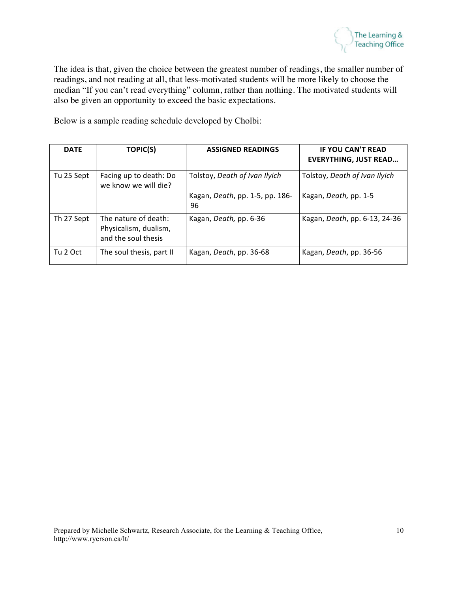

The idea is that, given the choice between the greatest number of readings, the smaller number of readings, and not reading at all, that less-motivated students will be more likely to choose the median "If you can't read everything" column, rather than nothing. The motivated students will also be given an opportunity to exceed the basic expectations.

Below is a sample reading schedule developed by Cholbi:

| <b>DATE</b> | <b>TOPIC(S)</b>                                                      | <b>ASSIGNED READINGS</b>              | <b>IF YOU CAN'T READ</b><br><b>EVERYTHING, JUST READ</b> |
|-------------|----------------------------------------------------------------------|---------------------------------------|----------------------------------------------------------|
| Tu 25 Sept  | Facing up to death: Do<br>we know we will die?                       | Tolstoy, Death of Ivan Ilyich         | Tolstoy, Death of Ivan Ilyich                            |
|             |                                                                      | Kagan, Death, pp. 1-5, pp. 186-<br>96 | Kagan, Death, pp. 1-5                                    |
| Th 27 Sept  | The nature of death:<br>Physicalism, dualism,<br>and the soul thesis | Kagan, Death, pp. 6-36                | Kagan, Death, pp. 6-13, 24-36                            |
| Tu 2 Oct    | The soul thesis, part II                                             | Kagan, Death, pp. 36-68               | Kagan, Death, pp. 36-56                                  |